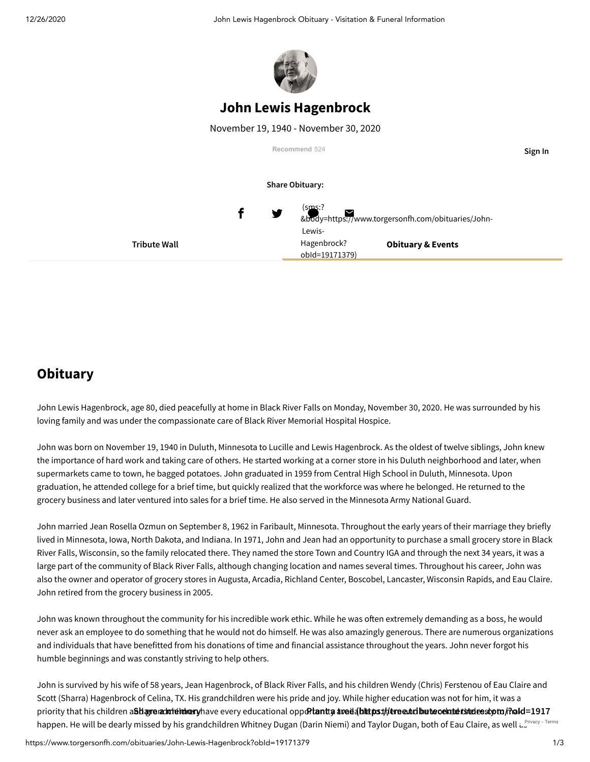

# **Tribute Wall Constructed Manufacture Manufacture Hagenbrock? Obituary & Events John Lewis Hagenbrock** November 19, 1940 - November 30, 2020 **Share Obituary: Recommend** 524 f (sms:? [&body=https://www.torgersonfh.com/obituaries/John-](sms:?&body=https://www.torgersonfh.com/obituaries/John-Lewis-Hagenbrock?obId=19171379) Lewis-Hagenbrock? obId=19171379)

# **Obituary**

John Lewis Hagenbrock, age 80, died peacefully at home in Black River Falls on Monday, November 30, 2020. He was surrounded by his loving family and was under the compassionate care of Black River Memorial Hospital Hospice.

John was born on November 19, 1940 in Duluth, Minnesota to Lucille and Lewis Hagenbrock. As the oldest of twelve siblings, John knew the importance of hard work and taking care of others. He started working at a corner store in his Duluth neighborhood and later, when supermarkets came to town, he bagged potatoes. John graduated in 1959 from Central High School in Duluth, Minnesota. Upon graduation, he attended college for a brief time, but quickly realized that the workforce was where he belonged. He returned to the grocery business and later ventured into sales for a brief time. He also served in the Minnesota Army National Guard.

John married Jean Rosella Ozmun on September 8, 1962 in Faribault, Minnesota. Throughout the early years of their marriage they briefly lived in Minnesota, Iowa, North Dakota, and Indiana. In 1971, John and Jean had an opportunity to purchase a small grocery store in Black River Falls, Wisconsin, so the family relocated there. They named the store Town and Country IGA and through the next 34 years, it was a large part of the community of Black River Falls, although changing location and names several times. Throughout his career, John was also the owner and operator of grocery stores in Augusta, Arcadia, Richland Center, Boscobel, Lancaster, Wisconsin Rapids, and Eau Claire. John retired from the grocery business in 2005.

John was known throughout the community for his incredible work ethic. While he was often extremely demanding as a boss, he would never ask an employee to do something that he would not do himself. He was also amazingly generous. There are numerous organizations and individuals that have benefitted from his donations of time and financial assistance throughout the years. John never forgot his humble beginnings and was constantly striving to help others.

John is survived by his wife of 58 years, Jean Hagenbrock, of Black River Falls, and his children Wendy (Chris) Ferstenou of Eau Claire and Scott (Sharra) Hagenbrock of Celina, TX. His grandchildren were his pride and joy. While higher education was not for him, it was a priority that his children a**Sblare adu einhery**have every educational oppo**Ptantta aree (bittps://teree.ucibetwoektetsitelesstotn/?raId=1917** happen. He will be dearly missed by his grandchildren Whitney Dugan (Darin Niemi) and Taylor Dugan, both of Eau Claire, as well  $\iota^{\mathrm{Divacy - Term}}$ 

**Sign In**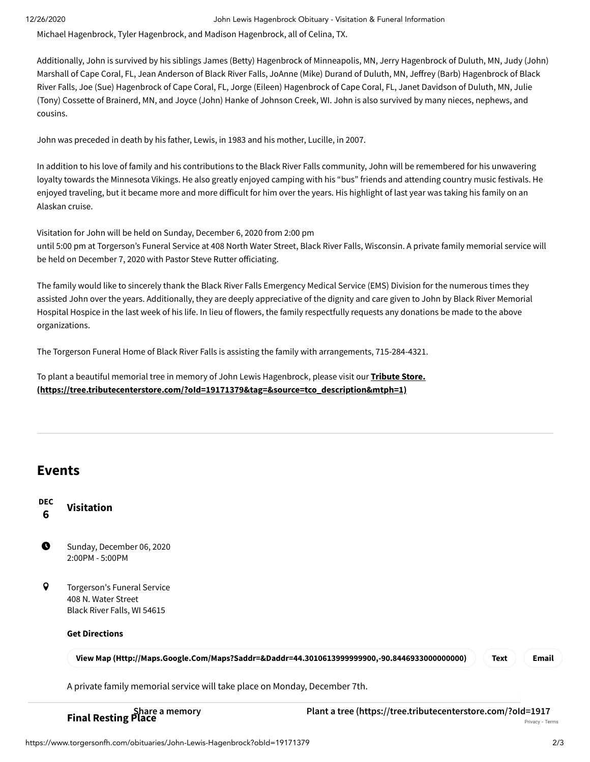#### 12/26/2020 John Lewis Hagenbrock Obituary - Visitation & Funeral Information

Michael Hagenbrock, Tyler Hagenbrock, and Madison Hagenbrock, all of Celina, TX.

Additionally, John is survived by his siblings James (Betty) Hagenbrock of Minneapolis, MN, Jerry Hagenbrock of Duluth, MN, Judy (John) Marshall of Cape Coral, FL, Jean Anderson of Black River Falls, JoAnne (Mike) Durand of Duluth, MN, Jeffrey (Barb) Hagenbrock of Black River Falls, Joe (Sue) Hagenbrock of Cape Coral, FL, Jorge (Eileen) Hagenbrock of Cape Coral, FL, Janet Davidson of Duluth, MN, Julie (Tony) Cossette of Brainerd, MN, and Joyce (John) Hanke of Johnson Creek, WI. John is also survived by many nieces, nephews, and cousins.

John was preceded in death by his father, Lewis, in 1983 and his mother, Lucille, in 2007.

In addition to his love of family and his contributions to the Black River Falls community, John will be remembered for his unwavering loyalty towards the Minnesota Vikings. He also greatly enjoyed camping with his "bus" friends and attending country music festivals. He enjoyed traveling, but it became more and more difficult for him over the years. His highlight of last year was taking his family on an Alaskan cruise.

Visitation for John will be held on Sunday, December 6, 2020 from 2:00 pm

until 5:00 pm at Torgerson's Funeral Service at 408 North Water Street, Black River Falls, Wisconsin. A private family memorial service will be held on December 7, 2020 with Pastor Steve Rutter officiating.

The family would like to sincerely thank the Black River Falls Emergency Medical Service (EMS) Division for the numerous times they assisted John over the years. Additionally, they are deeply appreciative of the dignity and care given to John by Black River Memorial Hospital Hospice in the last week of his life. In lieu of flowers, the family respectfully requests any donations be made to the above organizations.

The Torgerson Funeral Home of Black River Falls is assisting the family with arrangements, 715-284-4321.

To plant a beautiful memorial tree in memory of John Lewis Hagenbrock, please visit our **Tribute Store. [\(https://tree.tributecenterstore.com/?oId=19171379&tag=&source=tco\\_description&mtph=1\)](https://tree.tributecenterstore.com/?oId=19171379&tag=&source=tco_description&mtph=1)**

# **Events**

#### **DEC 6 Visitation**

- Sunday, December 06, 2020 2:00PM - 5:00PM
- **Q** Torgerson's Funeral Service 408 N. Water Street Black River Falls, WI 54615

## **Get Directions**

**View Map [\(Http://Maps.Google.Com/Maps?Saddr=&Daddr=44.3010613999999900,-90.8446933000000000\)](http://maps.google.com/maps?saddr=&daddr=44.3010613999999900,-90.8446933000000000) Text Email**

A private family memorial service will take place on Monday, December 7th.

**Final Resting Place**

**Share a memory Plant a tree [\(https://tree.tributecenterstore.com/?oId=1917](https://tree.tributecenterstore.com/?oId=19171379&tag=&source=tco_button&mtph=1)**

[Privacy](https://www.google.com/intl/en/policies/privacy/) - [Terms](https://www.google.com/intl/en/policies/terms/)